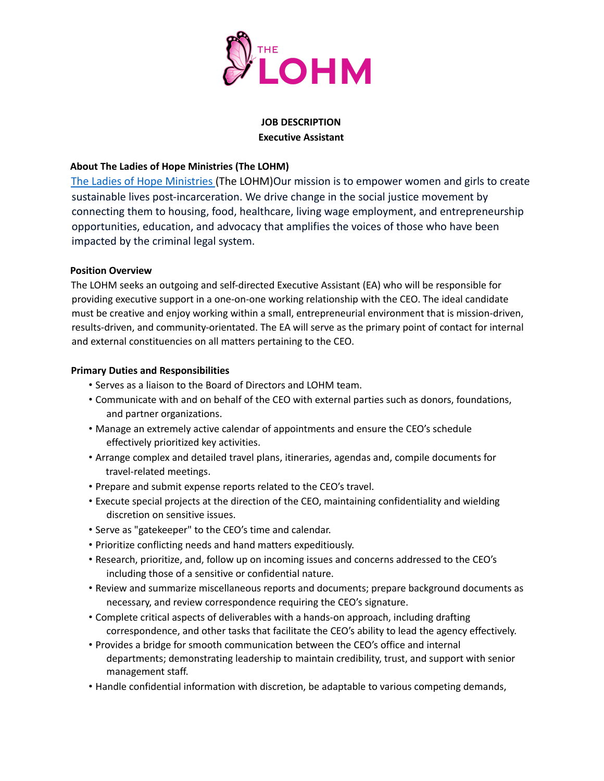

#### **JOB DESCRIPTION Executive Assistant**

# **About The Ladies of Hope Ministries (The LOHM)**

The Ladies of Hope Ministries (The LOHM)Our mission is to empower women and girls to create sustainable lives post-incarceration. We drive change in the social justice movement by connecting them to housing, food, healthcare, living wage employment, and entrepreneurship opportunities, education, and advocacy that amplifies the voices of those who have been impacted by the criminal legal system.

### **Position Overview**

The LOHM seeks an outgoing and self-directed Executive Assistant (EA) who will be responsible for providing executive support in a one-on-one working relationship with the CEO. The ideal candidate must be creative and enjoy working within a small, entrepreneurial environment that is mission-driven, results-driven, and community-orientated. The EA will serve as the primary point of contact for internal and external constituencies on all matters pertaining to the CEO.

# **Primary Duties and Responsibilities**

- Serves as a liaison to the Board of Directors and LOHM team.
- Communicate with and on behalf of the CEO with external parties such as donors, foundations, and partner organizations.
- Manage an extremely active calendar of appointments and ensure the CEO's schedule effectively prioritized key activities.
- Arrange complex and detailed travel plans, itineraries, agendas and, compile documents for travel-related meetings.
- Prepare and submit expense reports related to the CEO's travel.
- Execute special projects at the direction of the CEO, maintaining confidentiality and wielding discretion on sensitive issues.
- Serve as "gatekeeper" to the CEO's time and calendar.
- Prioritize conflicting needs and hand matters expeditiously.
- Research, prioritize, and, follow up on incoming issues and concerns addressed to the CEO's including those of a sensitive or confidential nature.
- Review and summarize miscellaneous reports and documents; prepare background documents as necessary, and review correspondence requiring the CEO's signature.
- Complete critical aspects of deliverables with a hands-on approach, including drafting correspondence, and other tasks that facilitate the CEO's ability to lead the agency effectively.
- Provides a bridge for smooth communication between the CEO's office and internal departments; demonstrating leadership to maintain credibility, trust, and support with senior management staff.
- Handle confidential information with discretion, be adaptable to various competing demands,